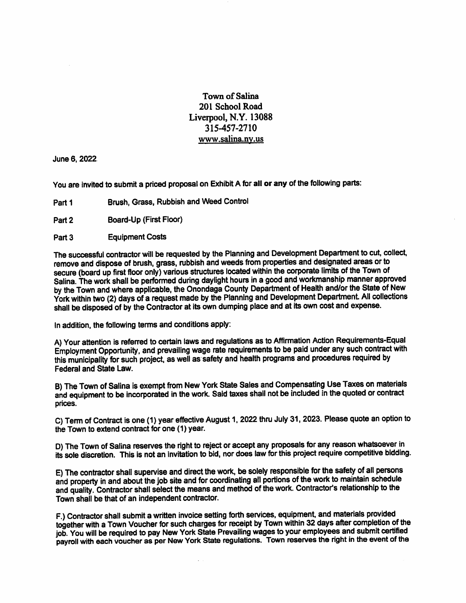Townof Salina 201 School Road Liverpool, N.Y. 13088 315-457-2710 www.salina.nv.us

June 6.2022

You are invited to submit a priced proposal on Exhibit A for all or any of the following parts:

- Brush, Grass, Rubbish and Weed Control Part<sub>1</sub>
- Board-Up (First Floor) Part 2
- Equipment Costs Part 3

The successful contractor will be requested by the Planning and Development Department to cut, collect, remove and dispose of brush, grass, rubbish and weeds from properties and designated areas or to<br>secure (board up first floor only) various structures located within the corporate limits of the Town of secure (board up first floor only) various structures located within the corporate limits of the Town of the Town of Salina. The work shall be performed during daylight hours in a good and workmanship manner approved by the Town and where applicable, the Onondaga County Department of Health and/or the State of New York within two (2) days of a request made by the Planning and Development Department. All collections shall be disposed of by the Contractor at its own dumping place and at its own cost and expense.

In addition, the following terms and conditions apply:

A) Your attention is referred to certain laws and regulations as to Affirmation Action Requirements-Equal Employment Opportunity, and prevailing wage rate requirements to be paid under any such contract with this municipality for such project, as well as safety and health programs and procedures required by Federal and State Law.

B) The Town of Salina is exempt from New York State Sales and Compensating Use Taxes on materials and equipment to be incorporated in the work. Said taxes shall not be included in the quoted or contract prices.

C) Term of Contract is one (1) year effective August 1.2022 thru July 31,2023. Please quote an option to the Town to extend contract for one (1) year.

D) The Town of Salina reserves the right to reject or accept any proposals for any reason whatsoever in its sole discretion. This is not an invitation to bid, nor does law for this project require competitive bidding.

E) The contractor shall supervise and direct the work, be solely responsible for the safety of ail persons and property in and about the job site and for coordinating all portions of the work to maintain schedule to the and quality. Contractor shall select the means and method of the work. Contractor's relationship to the Town shall be that of an independent contractor.

F.) Contractor shall submit a written invoice setting forth services, equipment, and materials provided<br>together with a Town Voucher for such charges for receipt by Town within 32 days after completion of the job. You will be required to pay New York State Prevailing wages to your employees and submit certified job. You will be required to pay New York State Prevailing wages to your employees and submit certified payroll with each voucher as per New York State regulations. Town reserves the right In the event of the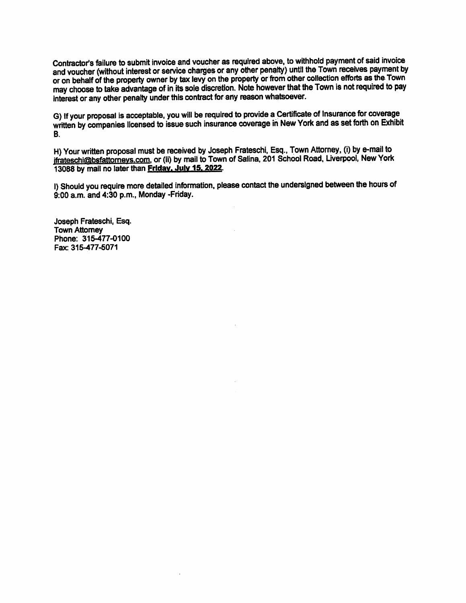Contractor's failure to submit invoice and voucher as required above, to withhold payment of said invoice<br>and voucher (without interest or service charges or any other penalty) until the Town receives payment by and voucher (without interest or service charges or any other penalty) until the Town receives payment by the Town or on behalf of the property owner by tax levy on the property of indicated the Town is not required to pay may choose to take advantage of in its sole discretion. Note however that the Town is not required to pay interest or any other penalty under this contract for any reason whatsoever.

G) If your proposal is acceptable, you will be required to provide a Certificate of Insurance for coverage written by companies licensed to issue such insurance coverage in New York and as set forth on Exhibit B.

H) Your written proposal must be received by Joseph Frateschi, Esq., Town Attorney, (i) by e-mail to ifrateschi@bsfattorneys.com. or (ii) by mail to Town or Salina, 201 School Road, Liverpool, New York 13088 by mail no later than Friday. July 18.2022.

I) Should you require more detailed information, please contact the undersigned between the hours of 9:00 a m. and 4:30 p.m., Monday -Friday.

Joseph Frateschi, Esq. Town Attorney Phone: 316-477-0100 Fax:315-477-5071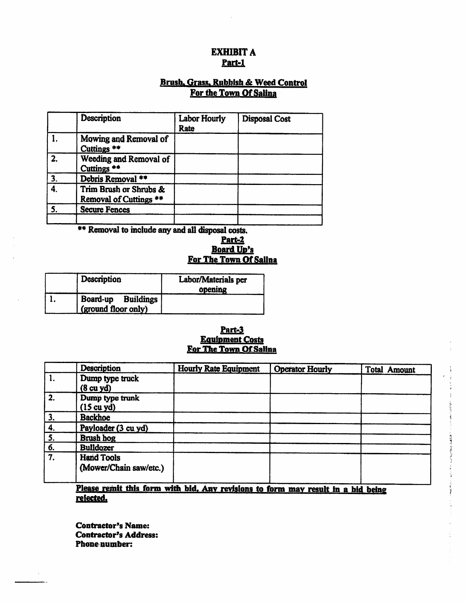# EXHIBIT A Part-1

# Brush. Grass. Rubbish & Weed Control For the Town Of Salina

|    | Description                                                 | <b>Labor Hourly</b><br>Rate | <b>Disposal Cost</b> |
|----|-------------------------------------------------------------|-----------------------------|----------------------|
|    | Mowing and Removal of<br>Cuttings **                        |                             |                      |
| 2. | Weeding and Removal of<br>Cuttings <sup>#*</sup>            |                             |                      |
| 3. | Debris Removal **                                           |                             |                      |
| 4. | Trim Brush or Shrubs &<br>Removal of Cuttings <sup>**</sup> |                             |                      |
| 5. | <b>Secure Fences</b>                                        |                             |                      |
|    |                                                             |                             |                      |

\*\* Removal to include any and all disposal costs.

# Part-2 Board Up's For The Town Of Salina

| Description                               | Labor/Materials per<br>opening |
|-------------------------------------------|--------------------------------|
| Board-up Buildings<br>(ground floor only) |                                |

# Part-3 Equipment Costs For The Town Of Salina

|                               | Description            | <b>Hourly Rate Equipment</b> | <b>Operator Hourly</b> | <b>Total Amount</b> |
|-------------------------------|------------------------|------------------------------|------------------------|---------------------|
| $\overline{1}$ .              | Dump type truck        |                              |                        |                     |
|                               | (8 <sub>cu</sub> yd)   |                              |                        |                     |
| $\overline{2}$ .              | Dump type trunk        |                              |                        |                     |
|                               | (15 cu yd)             |                              |                        |                     |
| 3.                            | <b>Backhoe</b>         |                              |                        |                     |
| 4.                            | Payloader (3 cu yd)    |                              |                        |                     |
| $\overline{5}$ .              | Brush hog              |                              |                        |                     |
| 6.                            | <b>Bulldozer</b>       |                              |                        |                     |
| $\overline{\boldsymbol{7}}$ . | <b>Hand Tools</b>      |                              |                        |                     |
|                               | (Mower/Chain saw/etc.) |                              |                        |                     |

Please remit this form with bid. Anv revisions to form mav result in a bid being rejected.

Contractor's Name: Contractor's Address: Phone number: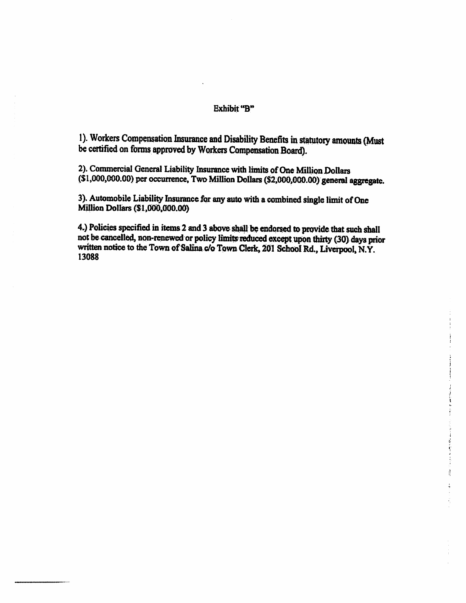# Exhibit "B

1). Workers Compensation Insurance and Disability Benefits in statutory amounts (Must be certified on forms approved by Workers Compensation Board).

2). Commercial General Liability Insurance with limits of One Million Dollars (\$1,000,000.00) per occurrence. Two Million Dollars (\$2,000,000.00) general aggregate.

3). Automobile Liability Insurance for any auto with a combined single limit of One Million Dollars (SI.000,000.00)

4.) Policies specified in items 2 and 3 above shall be endorsed to provide that such shall not be cancelled, non-renewed or policy limits reduced except upon thirty (30) days prior written notice to the Town of Salina c/o Town Clerk, 201 School Rd., Liverpool, N.Y<br>12099 13088

医神经性的 医皮肤病

 $\frac{1}{2}$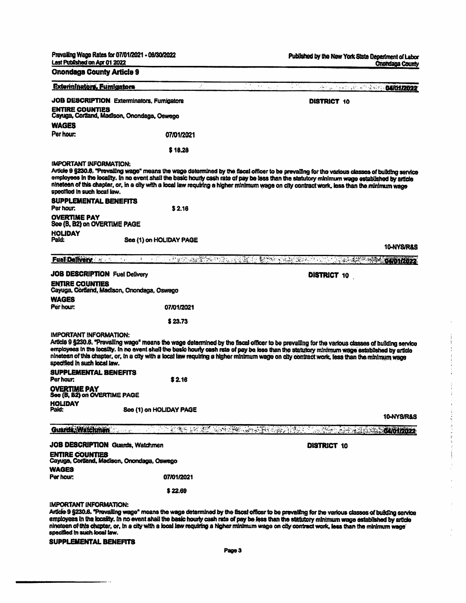Prevailing Wage Rales for 07/01/2021 ● 06/30/2022

Published by the New York State Oepedmenl of labor Qruwlaoa County

Ĵ.

 $\begin{aligned} \frac{1}{\sqrt{2}}\left\{ \begin{array}{ccc} \frac{1}{\sqrt{2}} & \frac{1}{\sqrt{2}} & \frac{1}{\sqrt{2}} & \frac{1}{\sqrt{2}} & \frac{1}{\sqrt{2}} & \frac{1}{\sqrt{2}} & \frac{1}{\sqrt{2}} & \frac{1}{\sqrt{2}} & \frac{1}{\sqrt{2}} & \frac{1}{\sqrt{2}} & \frac{1}{\sqrt{2}} & \frac{1}{\sqrt{2}} & \frac{1}{\sqrt{2}} & \frac{1}{\sqrt{2}} & \frac{1}{\sqrt{2}} & \frac{1}{\sqrt{2}} & \frac{1}{\sqrt{2}} & \frac{1}{\sqrt$ 

 $\label{eq:1} \frac{1}{2} \sum_{i=1}^n \frac{1}{2} \sum_{j=1}^n \frac{1}{2} \sum_{j=1}^n \frac{1}{2} \sum_{j=1}^n \frac{1}{2} \sum_{j=1}^n \frac{1}{2} \sum_{j=1}^n \frac{1}{2} \sum_{j=1}^n \frac{1}{2} \sum_{j=1}^n \frac{1}{2} \sum_{j=1}^n \frac{1}{2} \sum_{j=1}^n \frac{1}{2} \sum_{j=1}^n \frac{1}{2} \sum_{j=1}^n \frac{1}{2} \sum_{j=1}^n \frac{1}{$ 

 $\alpha$  is a simple of the set of the set of the set of the set of the  $\alpha$ 

 $\frac{1}{2}$  $\ddot{\phantom{0}}$ í,

i,

 $\bar{\bar{z}}$ 

Last Published Off Apr 01 2022

| <b>Onondaga County Article 9</b>                              |                                             |                                                                                                                                                                                                                                                                                                                                                                                                                                                 |
|---------------------------------------------------------------|---------------------------------------------|-------------------------------------------------------------------------------------------------------------------------------------------------------------------------------------------------------------------------------------------------------------------------------------------------------------------------------------------------------------------------------------------------------------------------------------------------|
| <b>Externinators, Eumigators</b>                              | ÿ.                                          | $\overline{X}$ , where $\overline{X}$<br>ste Mai<br><b>Service Design Advisors 04/01/2022</b>                                                                                                                                                                                                                                                                                                                                                   |
|                                                               | JOB DESCRIPTION Exterminators, Furnigators  | <b>DISTRICT 10</b>                                                                                                                                                                                                                                                                                                                                                                                                                              |
| <b>ENTIRE COUNTIES</b>                                        | Cayuga, Cortland, Madison, Onondaga, Osweno |                                                                                                                                                                                                                                                                                                                                                                                                                                                 |
| <b>WAGES</b>                                                  |                                             |                                                                                                                                                                                                                                                                                                                                                                                                                                                 |
| Per hour:                                                     | 07/01/2021                                  |                                                                                                                                                                                                                                                                                                                                                                                                                                                 |
|                                                               | \$18.28                                     |                                                                                                                                                                                                                                                                                                                                                                                                                                                 |
| <b>IMPORTANT INFORMATION:</b><br>specified in such local law. |                                             | Article 9 §230.6, "Prevailing wage" means the wage determined by the facal officer to be prevailing for the various classes of building service<br>employees in the locality. In no event shall the basic houny cash rate of pay be less than the statutory minimum wage established by article<br>nineteen of this chapter, or, in a city with a local law requiring a higher minimum wage on city contract work, less than the minimum wage   |
| <b>SUPPLEMENTAL BENEFITS</b><br>Par hour:                     | \$2.16                                      |                                                                                                                                                                                                                                                                                                                                                                                                                                                 |
| <b>OVERTIME PAY</b><br>See (B, B2) on OVERTIME PAGE           |                                             |                                                                                                                                                                                                                                                                                                                                                                                                                                                 |
| <b>HOLIDAY</b><br>Paid:                                       | See (1) on HOLIDAY PAGE                     |                                                                                                                                                                                                                                                                                                                                                                                                                                                 |
|                                                               |                                             | <b>10-NYS/R&amp;S</b>                                                                                                                                                                                                                                                                                                                                                                                                                           |
|                                                               |                                             | Fuel Delivery and the contract of the construction of the state of the contract of the contract of the contract                                                                                                                                                                                                                                                                                                                                 |
| <b>JOB DESCRIPTION Fuel Delivery</b>                          |                                             | <b>DISTRICT 10</b>                                                                                                                                                                                                                                                                                                                                                                                                                              |
| <b>ENTIRE COUNTIES</b>                                        | Cayuga, Cordand, Madison, Onondaga, Oswego  |                                                                                                                                                                                                                                                                                                                                                                                                                                                 |
| <b>WAGES</b><br>Per hour:                                     | 07/01/2021                                  |                                                                                                                                                                                                                                                                                                                                                                                                                                                 |
|                                                               | \$23.73                                     |                                                                                                                                                                                                                                                                                                                                                                                                                                                 |
| <b>IMPORTANT INFORMATION:</b><br>specified in such local law. |                                             | Article 9 §230.6. "Pravailing wage" means the wage determined by the fiscal officer to be prevailing for the various classes of building service<br>employees in the locality. In no event shall the basic hourly cash rate of pay be less than the statutory minimum wage established by article<br>ninateen of this chapter, or, in a city with a local law requiring a higher minimum wage on city contract work, less than the minimum wage |
| <b>SUPPLEMENTAL BENEFITS</b><br>Per hour:                     | \$2.16                                      |                                                                                                                                                                                                                                                                                                                                                                                                                                                 |
| <b>OVERTIME PAY</b><br>See (B, B2) on OVERTIME PAGE           |                                             |                                                                                                                                                                                                                                                                                                                                                                                                                                                 |
| <b>HOLIDAY</b>                                                |                                             |                                                                                                                                                                                                                                                                                                                                                                                                                                                 |
|                                                               | See (1) on HOLIDAY PAGE                     | 10-NYS/R&S                                                                                                                                                                                                                                                                                                                                                                                                                                      |
| Guarda Watchmen                                               | <b>TEST NEW YORK STATES AND</b>             | 85.<br><b>NGC ALITARISTS</b><br><b>ROMOTIZOZZ</b>                                                                                                                                                                                                                                                                                                                                                                                               |
|                                                               | <b>JOB DESCRIPTION Guards, Watchmen</b>     | <b>DISTRICT 10</b>                                                                                                                                                                                                                                                                                                                                                                                                                              |
| <b>ENTIRE COUNTIES</b>                                        | Cayuga, Cortland, Madison, Onondaga, Oswego |                                                                                                                                                                                                                                                                                                                                                                                                                                                 |
| WAGES<br>Per hour:                                            | 07/01/2021                                  |                                                                                                                                                                                                                                                                                                                                                                                                                                                 |
|                                                               | \$22.69                                     |                                                                                                                                                                                                                                                                                                                                                                                                                                                 |
|                                                               |                                             |                                                                                                                                                                                                                                                                                                                                                                                                                                                 |
| IMPORTANT INFORMATION:                                        |                                             | Article 9 §230.6. "Prevalling wage" means the wage determined by the fiscal officer to be prevalling for the various classes of building service                                                                                                                                                                                                                                                                                                |

employees in the locakiy. In no event shall the basic hourly cash rata of pay be less than the statutory minimum wage established by article nineteen of this chapter, or, in a city with a local law requiring a higher minimum wage on city contract work, less than the minimum wage<br>specified in such local law.

## SUPPLEMENTAL BENEFITS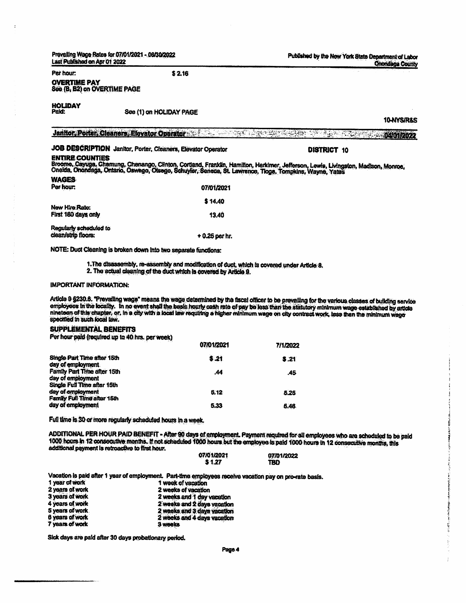prevailing Wage Rates for 07/01/2021 ● OS/30/2022 Last Published on Apr 01 2022

Published by the New York State Department of Labor **Onondaga County** 

Per hour:

OVERTIME PAY See {B. B2) on OVERTIME PAGE

HOLIDAY

See (1) on HOLIDAY PAGE

S2.16

10-NYS/R&S JanHor, Porter. Cleaners, Elevator Operator 04/01/2022

DISTRICT 10

# JOB DESCRIPTION Jemitor, Porter, Cleaners, Elevator Operator

#### ENTIRE COUNTIES

Chelda, Onondaga, Ontario, Oswego, Otsego, Schuyler, Seneca, St. Lawrence, Tloga, Tompkins, Wayne, Yates, Madison, Monroe WAGES

| <b>TEANIGHT</b>        |                 |
|------------------------|-----------------|
| Per hour:              | 07/01/2021      |
|                        | \$14,40         |
| New Hire Rate:         |                 |
| First 180 days only    | 13.40           |
| Regularly scheduled to |                 |
| clean/strip floors:    | $+0.25$ per hr. |

NOTE: Duct Cleaning is broken dcwn Into two separate functions:

1. The disassembly, re-assembly and modification of duct, which is covered under Article 8.

2. The actual cleaning of the duct which is covered by Article 9.

### IMPORTANT INFORMATION:

Article 9 §230.6. "Prevailing wage" means the wage determined by the fiscal officer to be prevailing for the various classes of building service employees in the locality. In no event shall the basic hourly cash rate of pay be less than the statutory minimum wage estabilished by article nineteen of this chapter, or, in a city with a local law requiring a higher minimum wage on city contract work, less than the minimum wage specified in such local law.

## SUPPLEMENTAL BENEFITS

Per hour paid (required up la 40 hrs. per week)

|                                                   | 07/01/2021 | 7/1/2022 |
|---------------------------------------------------|------------|----------|
| Single Part Time after 15th<br>day of employment. | \$.21      | 3.21     |
| Family Part Time after 15th                       | .44        | .45      |
| day of employment<br>Single Full Time after 15th  |            |          |
| day of employment<br>Family Full Time after 15th  | 5.12       | 5.26     |
| day of employment                                 | 5.33       | 5.46     |

Full time is 30 or more regularly scheduled hours in a week.

ADDITIONAL PER HOUR PAID BENEFIT - After 90 days of employmenL Payment required for all employees who are scheduled to be paid 1000 hours in 12 cortsecutive months. If not scheduled 1000 hours but the employee Is paid 1000 hours in 12 consecutive months, this additional payment is retroactive to first hour. 07

| /01/2021 | 07/01/2022 |
|----------|------------|
| S 1.27   | TBD        |

Vacation is paid after 1 year of employment. Part-time employees receive vacation pay on pro-rate basis.

| 1 week of vacation          |
|-----------------------------|
| 2 weeks of vacation         |
| 2 weeks and 1 day vacation  |
| 2 weeks and 2 days vacation |
| 2 weeks and 3 days vacation |
| 2 weeks and 4 days vacation |
| 3 weeks                     |
|                             |

Sick days are paid after 30 days probationary period.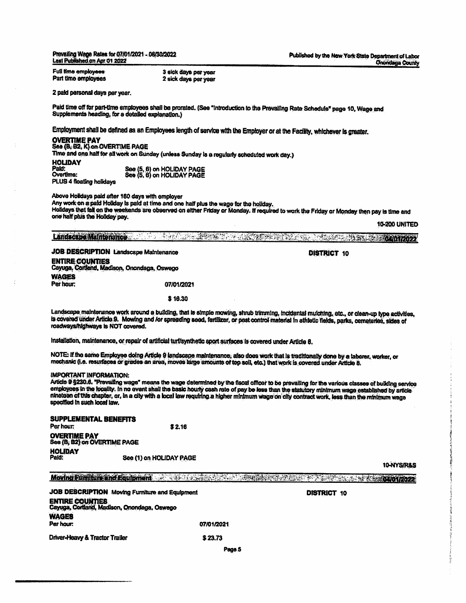Prevafing Wage Rates ht 07/01/2021 - 08/30/2022 Laat FhibBshed on Apr 01 2022

Full time employees Part time employees 3 tick days per year 2 sick days per year

2 paid personal days per year.

Paid time off for part-time employees shall be prorated. (See "Introduction to the Prevailing Rate Schedule" page 10, Wage and Supplements heading, for a detailed explanation.)

Employment shall be defined as an Employees length of service with the Employer or at the Facility, whichever is greater.

### OVERTIME PAY

PLUS 4 floating holidays

# See {B, B2. K) on OVERTIME PAGE

Time artd one half for all work on Sunday (unless Sunday is a regularfy scheduled work day.)

**HOLIDAY** PakJ: Overtime:

See (S, 6} on HOUDAY PAGE See (5.6) on HOLIDAY PAGE

Above Holidays paid after 180 days with employer

Any work on a paid Hdiday is paid at time and one half plus the wage for the holiday. Holidays that fall on the weekends are observed on either Friday or Monday. If required to work the Friday or Monday then pay is time and one half plus the Holiday pay.

10-200 UNITED

| Landscape Maintenance | <b>《中国大学学校》中,《中国大学学校》中,中国大学学校的学校》。</b> |  |
|-----------------------|----------------------------------------|--|
|                       |                                        |  |
|                       |                                        |  |
|                       |                                        |  |

JOB DESCRIPTION Landscape Maintenance ENTIRE COUNTIES Cayuga, Cortland, Madison, Onondaga, Oswego WAGES Per hour: 07/01/2021

\$ 16.30

Landscape maintenance work around a building, that is simple mowing, shrub trimming, incidental mulching, etc., or dean-up type activities, Is covered under Article 9. Mowing and /or spreading seed, fertilizer, or post control material in athietic fields, parks, cemeteries, sides of roadways/highways is NOT covered.

Installation, maintenance, or repair of artifidal turf/synthetic sport surfaces is covered under Artide 8.

NOTE: If the same Employee doing Article 9 landscape maintenance, also does work that is traditionally done by a laborer, worker, or<br>morberie 0 a marriers mechanic (i.e. resurfaces or grades an area, moves large amounts of top soil, etc.) that work is covered under Article 8.

#### IMPORTANT INFORMATION:

Article 9 §230.6. "Prevailing wage" means the wage determined by the fiscal officer to be prevailing for the various classes of building service employees in the locality. In no event shall the basic hourly cash rate of pay be less than the statutory minimum wage established by article nineteen of this chapter, or. In a city with a local law requiring a higher minimum wage on city contract work, less than the minimum wage specified in such local law.

| <b>SUPPLEMENTAL BENEFITS</b><br>Per hour:           | \$2.16                  |
|-----------------------------------------------------|-------------------------|
| <b>OVERTIME PAY</b><br>See (B, B2) on OVERTIME PAGE |                         |
| <b>HOLIDAY</b><br>Pald:                             | See (1) on HOLIDAY PAGE |

10-NYS/R&S

Moving Fumitur Sind Equipment Constructions and Construction and Department of the Construction of the Construction

JOB DESCRIPTION Moving Furniture and Equipment ENTIRE COUNTIES Cayuga, Cortland. Madison, Onondaga. Oswego **WAGES** Per hour 07/01/2021 Driver-Heavy & Tractor Trailer  $$23.73$ 

DISTRICT 10

DISTRICT 10

Pages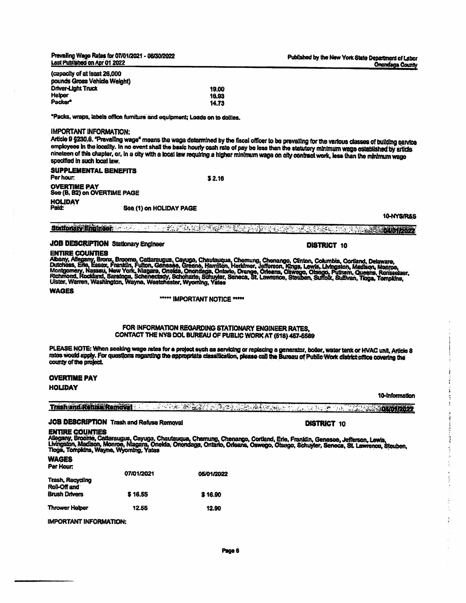Prevailing Wage Rates for 07/01/2021 - 06/30/2022 Last Published on Apr 01 2022

DISTRICT 10

DISTRICT 10

{capacity of at least 26,000 pounds Gross Vehicle Weight) Drtver-Ught Truck Helper Packer\*

'Packs, wraps, labels office furniture and equipment: Loads on to dollies.

## IMPORTANT INFORMATION:

Article 9 §230.6. "Prevailing wage" means the wage determined by the fiscal officer to be prevailing for the various classes of building sarvice employees in the locality. In no event shall the basic hourly cash rate of pay be less than the statutory minimum wage established by article nineteen of this chapter, or, in a city with a local law requiring a higher minimum wage on city contract work, less than the minimum wage specified in such local law.

19.00 16.93 14.73

\$2.16

SUPPLEMENTAL BENEFITS Per hour OVERTIME PAY See (B. B2) on OVERTIME PAGE HOLIDAY<br>Paid: See (1) on HOLIDAY PAGE

16-NYS/R&S

# Stationarv Enqiner 04/01/2022

### JOB DESCRIPTION Stationary Engineer

## ENTIRE COUNTIES

Putchess, Eric, Essox, Franklin, Fulton, Genesse, Greene, Hamilton, Loemung, Crienango, Cimen, Columbia, Cortand, Delaware,<br>Dutchess, Eric, Essox, Franklin, Fulton, Genesse, Greene, Hamilton, Heritimer, Johanna, Oswego, Ot

#### WAGES

\*\*\*\*\* IMPORTANT NOTICE \*\*\*\*\*

### FOR INFORMATION REGARDING STATIONARY ENGINEER RATES, CONTACT THE NYS OOL BUREAU OF PUBLIC WORK AT (518) 457-5589

PLEASE NOTE: When seeking wage rates for a project such as servicing or replacing a generator, boiler, water tank or HVAC unit, Article 8 rates would apply. For questions regarding the appropriate classification, please call the Bureau of Public Work district office covering the county of the project.

#### OVERTIME PAY

#### **HOLIDAY**

## Trash and Refuae RemovI 04/01/2022

### JOB DESCRIPTION Trash and Refuse Removal

#### ENTIRE COUNTIES

Awgany, orooma, Cauaraugus, Cayuga, Chauauqua, Chamung, Chanango, Cortand, Erie, Franklin, Genesee, Jefferson, Lewis,<br>Livingston, Madison, Monroe, Niagara, Orielda, Oriondaga, Ontario, Orleans, Oswego, Obsego, Schuyler, Se

### WAGES

| Per Hour:                               |            |            |
|-----------------------------------------|------------|------------|
|                                         | 07/01/2021 | 05/01/2022 |
| <b>Trash, Recycling</b><br>Roll-Off and |            |            |
| <b>Brush Drivers</b>                    | \$16.55    | \$16.90    |
|                                         |            |            |
| <b>Thrower Hotper</b>                   | 12.55      | 12.90      |

IMPORTANT INFORMATION:

#### 10-Information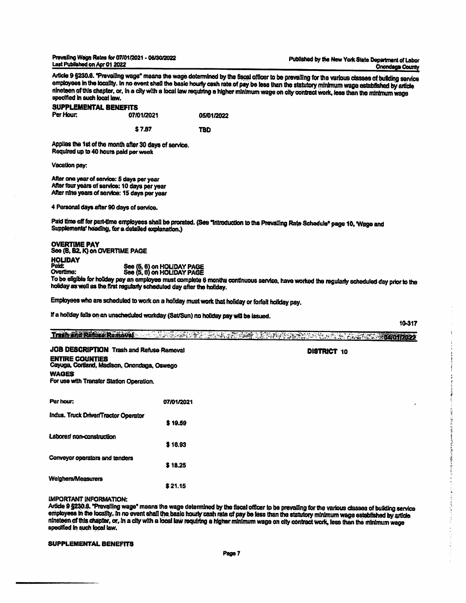PrevaHing Wage Rates for 07/01/2021 - 06/30/2022 Last Pubtished en Apr 01 2022

Article 9 §230.6. "Prevailing wage" means the wage determined by the fiscal officer to be prevailing for the various classes of building service employees in the locality. In no event shall the basic houny cash rate of pay be less than the statutory minimum wage established by article nineteen of this chapter, or. in a city with a local law requiring a higher minimum wage on city contract work, less than the minimum wage specified In such local law.

# SUPPLEMENTAL BENEFITS<br>Per Hour: 07/ 07/01/2021 05/01/2022

\$7.87 TBD

Applies the 1st of the month after 30 days of service. Required up to 40 hours paid per week

Vacation pay:

Aher one year of service: 5 days per year After four years of service: 10 days per year After nine years of service: 15 days per year

4 Personal days after 90 days of service.

Paid time off for part-time employees shall be prorated. (See "Introduction to the Prevailing Rate Schedule\* page 10, 'Wage and Supplements' heading, for a detailed explanation.)

#### OVERTIME PAY See (6. B2, K) on OVERTIME PAGE HOLIDAY Paid: Overtime:

See (5. 6) on See (5. 6) on HOLIDAY PAGE HOLIDAY PAGE

To bo eligible for holiday pay an employee must complete 6 months continuous service, have worked the regularly scheduled day prior to the holiday as well as the first regularly scheduled day after the holiday.

Employees who are scheduled to work on a holiday must work that holiday or forfeit holiday pay.

If a holiday falls on an unscheduled workday (Sat/Sun) no holiday pay wifl be Issued.

10-317

このことをござめるのです。

医海绵素 的复数医学家

| <b>JOB DESCRIPTION Trash and Refuse Removal</b>                       | <b>DISTRICT 10</b> |  |
|-----------------------------------------------------------------------|--------------------|--|
| <b>ENTIRE COUNTIES</b><br>Cayuga, Cortland, Madison, Onondaga, Oswego |                    |  |
| <b>WAGES</b><br>For use with Transfer Station Operation.              |                    |  |

| Indus. Truck Driver/Tractor Operator | \$19.59 |
|--------------------------------------|---------|
| Laboren non-construction             |         |
|                                      | \$16.93 |
| Conveyor operators and tenders       |         |
|                                      | \$18.25 |
| Weighers/Measurers                   | \$21.15 |
|                                      |         |

### IMPORTANT INFORMATION:

Arlide 9 §230.6. 'Prevailing wage" means Ihe wage determined by the fiscal officer to be prevailing for the various classes of building service employees in the locality. In no event shall the basic hourly cash rate of pay be less than the statutory minimum wage established by article nineteen of this chapter, or, in a city with a local law requiring a higher minimum wage on city contract work, less than the minimum wage specified in such local law.

#### SUPPLEMENTAL BENEFITS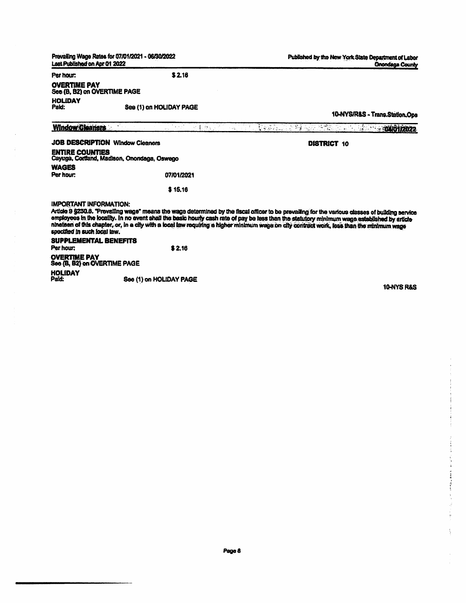| Last Published on Apr 01 2022                                                                                                     | Prevailing Wage Rates for 07/01/2021 - 06/30/2022 | Published by the New York State Department of Labor<br><b>Onondaga County</b>                                                                                                                                                                                                                                                                                                                                                                   |
|-----------------------------------------------------------------------------------------------------------------------------------|---------------------------------------------------|-------------------------------------------------------------------------------------------------------------------------------------------------------------------------------------------------------------------------------------------------------------------------------------------------------------------------------------------------------------------------------------------------------------------------------------------------|
| Per hour:                                                                                                                         | \$2.16                                            |                                                                                                                                                                                                                                                                                                                                                                                                                                                 |
| <b>OVERTIME PAY</b><br>See (B, B2) on OVERTIME PAGE                                                                               |                                                   |                                                                                                                                                                                                                                                                                                                                                                                                                                                 |
| <b>HOLIDAY</b><br>Paid:                                                                                                           | See (1) on HOLIDAY PAGE                           | 10-NYS/R&S - Trans.Station.Ops                                                                                                                                                                                                                                                                                                                                                                                                                  |
| <b>Window Cleaners</b>                                                                                                            | 预长的变形<br>in est<br>t Paul II                      | 的复数医学家 化二甲基苯基<br>1.341017022                                                                                                                                                                                                                                                                                                                                                                                                                    |
|                                                                                                                                   | <b>JOB DESCRIPTION Window Cleaners</b>            | DISTRICT 10                                                                                                                                                                                                                                                                                                                                                                                                                                     |
| <b>ENTIRE COUNTIES</b>                                                                                                            | Cayuga, Cortland, Madison, Onondaga, Oswego       |                                                                                                                                                                                                                                                                                                                                                                                                                                                 |
| <b>WAGES</b><br>Per hour:                                                                                                         | 07/01/2021                                        |                                                                                                                                                                                                                                                                                                                                                                                                                                                 |
|                                                                                                                                   | \$15.16                                           |                                                                                                                                                                                                                                                                                                                                                                                                                                                 |
| <b>IMPORTANT INFORMATION:</b><br>specified in such local law.<br><b>SUPPLEMENTAL BENEFITS</b><br>Per hour:<br><b>OVERTIME PAY</b> | \$2.16                                            | Article 9 §230.6. "Provailing wage" means the wage determined by the fiscal officer to be prevailing for the various classes of building service<br>employees in the locality. In no event shall the basic hourly cash rate of pay be less than the statutory minimum wage established by article<br>ninateen of this chapter, or, in a city with a local law requiring a higher minimum wage on city contract work, loss than the minimum wage |
| See (B, B2) on OVERTIME PAGE                                                                                                      |                                                   |                                                                                                                                                                                                                                                                                                                                                                                                                                                 |
| <b>HOLIDAY</b><br>Paid:                                                                                                           | See (1) on HOLIDAY PAGE                           |                                                                                                                                                                                                                                                                                                                                                                                                                                                 |

 $\bar{ }$  $\ddot{\phantom{a}}$ 

10-NYS R&S

 $\alpha$  , which is the contract of the contract of the contract of  $\alpha$ 

 $\label{eq:2.1} \frac{1}{2} \left( \frac{1}{2} \frac{1}{2} \frac{1}{2} \frac{1}{2} \frac{1}{2} \frac{1}{2} \frac{1}{2} \frac{1}{2} \frac{1}{2} \frac{1}{2} \frac{1}{2} \frac{1}{2} \frac{1}{2} \frac{1}{2} \frac{1}{2} \frac{1}{2} \frac{1}{2} \frac{1}{2} \frac{1}{2} \frac{1}{2} \frac{1}{2} \frac{1}{2} \frac{1}{2} \frac{1}{2} \frac{1}{2} \frac{1}{2} \frac{1}{2} \frac{1}{2} \frac{1}{$ 

 $\frac{1}{2}$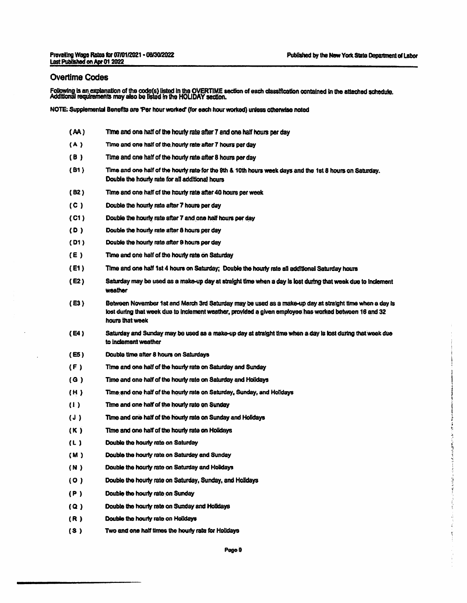## Overtime Codes

Fottowlng is an explanation of the code(s) listed in the OVERTIME section of each classification contained in the attached schedule Additional requirements may also be Inted in the HOLIDAY section.

NOTE: Supplemental Benefits are 'Per hour worked' (for each hour worked) unless otherwise noted

| (AA)        | Time and one half of the hourly rate after 7 and one half hours per day                                                                                                                                                              |
|-------------|--------------------------------------------------------------------------------------------------------------------------------------------------------------------------------------------------------------------------------------|
| (A)         | Time and one half of the hourly rate after 7 hours per day.                                                                                                                                                                          |
| (B)         | Time and one half of the hourly rate after 8 hours per day                                                                                                                                                                           |
| (B1)        | Time and one half of the hourly rate for the 8th & 10th hours week days and the 1st 8 hours on Saturday.<br>Double the hourly rate for all additional hours                                                                          |
| (B2)        | Time and one half of the hourly rate after 40 hours per week                                                                                                                                                                         |
| (C)         | Double the hourly rate after 7 hours per day                                                                                                                                                                                         |
| (C1)        | Double the hourly rate after 7 and one half hours per day                                                                                                                                                                            |
| (D)         | Double the hourly rate after 8 hours per day                                                                                                                                                                                         |
| (D1)        | Double the hourly rate after 9 hours per day                                                                                                                                                                                         |
| (E)         | Time and one half of the hourly rate on Saturday                                                                                                                                                                                     |
| (E1)        | Time and one half 1st 4 hours on Saturday; Double the hourly rate all additional Saturday hours                                                                                                                                      |
| (E2)        | Saturday may be used as a make-up day at straight time when a day is lost during that week due to inclement<br>weather                                                                                                               |
| (E3)        | Between November 1st and March 3rd Saturday may be used as a make-up day at straight time when a day is<br>lost during that week due to inclement weather, provided a given employee has worked between 16 and 32<br>hours that week |
| (E4)        | Saturday and Sunday may be used as a make-up day at straight time when a day is lost during that week due<br>to inclement weather                                                                                                    |
| (ES)        | Double time after 8 hours on Saturdays                                                                                                                                                                                               |
| (F)         | Time and one half of the hourly rate on Saturday and Sunday                                                                                                                                                                          |
| (G)         | Time and one half of the hourly rate on Saturday and Holidays                                                                                                                                                                        |
| (H)         | Time and one half of the hourly rate on Saturday, Sunday, and Holidays                                                                                                                                                               |
| (1)         | Time and one half of the hourly rate on Sunday                                                                                                                                                                                       |
| $J_{\rm d}$ | Time and one half of the hourly rate on Sunday and Holidays                                                                                                                                                                          |
| (K)         | Time and one half of the hourly rate on Holidays                                                                                                                                                                                     |
| (L)         | Double the hourly rate on Saturday                                                                                                                                                                                                   |
| (M)         | Double the hourly rate on Saturday and Sunday                                                                                                                                                                                        |
| (N)         | Double the hourly rate on Saturday and Holidays                                                                                                                                                                                      |
| (0)         | Double the hourly rate on Saturday, Sunday, and Holidays                                                                                                                                                                             |
| (P)         | Double the hourly rate on Sunday                                                                                                                                                                                                     |
| (Q)         | Double the hourly rate on Sunday and Holidays                                                                                                                                                                                        |
| (R)         | Double the hourly rate on Holidays                                                                                                                                                                                                   |
| (3)         | Two and one half times the hourly rate for Holidays                                                                                                                                                                                  |

i.<br>Ii

にゅうしょう 自由 おおや アー・ディー ほうぶ ギテル・シー・エー

医皮肤 医前列腺 ĵ.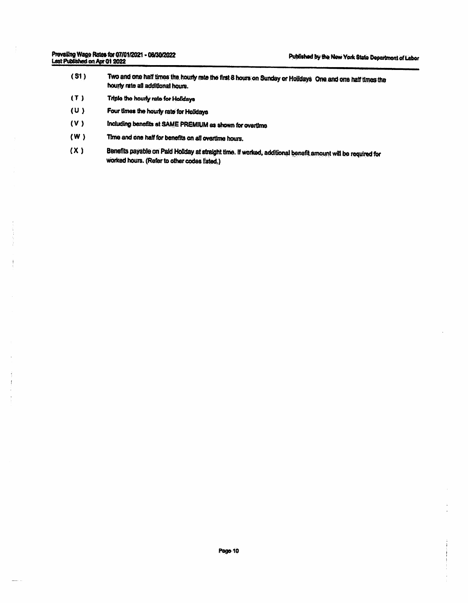$\ddot{.}$ 

- (SI) Two and one half times the hourly rate the first 0 hours on Sunday or Holidays One and one half times the hourly rate all additional hours.
- Triple the heurty rate for Holldaya (T )
- Four times the hourly rate for Holidays (U )
- Including benefits at SAME PREMIUM as shown for overtime (V )
- Time and one half for benefits on all overtime hours. (W )
- Benefits payable on Paid Holiday at straight time. If worked, additional benefit amount will be required for worked hours. (Refer to other codes listed.}  $(X)$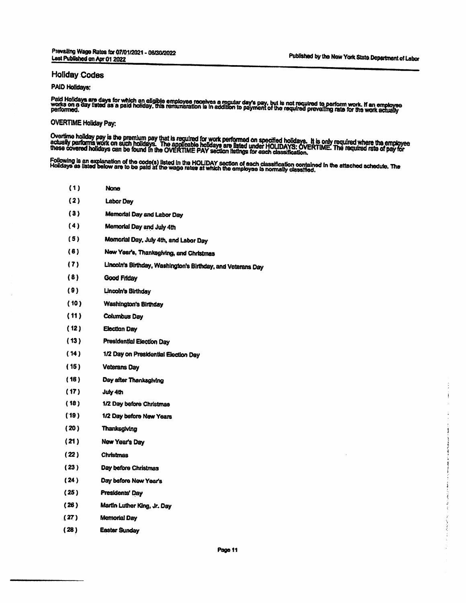### Holiday Codes

## PAID Holidays:

Paid Holidays are days for which an eligible employes receives a regular day's pay, but is not required to perform work. If an employee<br>works on a day listed as a paid holiday, this remunaration is in addition to payment o

### OVERTIME Holiday Pay:

Overtime holiday pay is the premium pay that is required for work performed on specified holidays. It is only required where the employee<br>actually performs work on such holidays. The applicable holidays are listed under HO

(1) None (2) Labor Day Memorial Day and Labor Day Memorial Day and July 4dt Memorial Day. July 4th, and Labor Day New Year's, Thanksgiving, and Christmas Lincoln's Birthday, Washington's Birthday, and Veterans Day Good Friday Lincoln's Birthday Washington's Birthday Columbus Day Election Day Presidential Election Day 1/2 Day on Presidential Election Day Veterans Day Day after Thanksgiving July 4th 1/2 Day before Christmas 1/2 Day before New Years Thanksgiving New Year's Day Christmas (3) (4) (5) (6) (7) (8) (9) (10) (11) (12) (13) (14) (15) (16) (17) (18) (19) (20) (21) (22) (23) Day before Christmas Day before New Year's Presidents' Day Martin Luther King, Jr. Day Memorial Day Easter Sunday (24) (25) (26) (27) (28)

Page 11